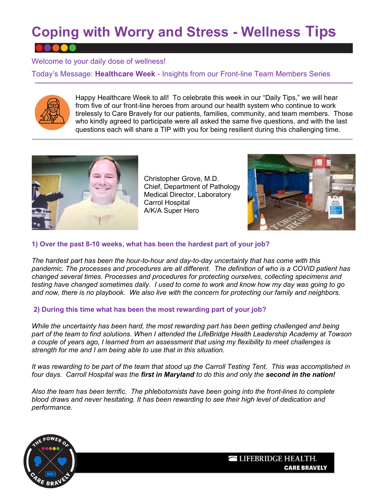# Coping with Worry and Stress - Wellness Tips

### Welcome to your daily dose of wellness!

Today's Message: Healthcare Week - Insights from our Front-line Team Members Series



Happy Healthcare Week to all! To celebrate this week in our "Daily Tips," we will hear from five of our front-line heroes from around our health system who continue to work tirelessly to Care Bravely for our patients, families, community, and team members. Those who kindly agreed to participate were all asked the same five questions, and with the last questions each will share a TIP with you for being resilient during this challenging time.



Christopher Grove, M.D. Chief, Department of Pathology Medical Director, Laboratory Carrol Hospital A/K/A Super Hero



### 1) Over the past 8-10 weeks, what has been the hardest part of your job?

The hardest part has been the hour-to-hour and day-to-day uncertainty that has come with this pandemic. The processes and procedures are all different. The definition of who is a COVID patient has changed several times. Processes and procedures for protecting ourselves, collecting specimens and testing have changed sometimes daily. I used to come to work and know how my day was going to go and now, there is no playbook. We also live with the concern for protecting our family and neighbors.

#### 2) During this time what has been the most rewarding part of your job?

While the uncertainty has been hard, the most rewarding part has been getting challenged and being part of the team to find solutions. When I attended the LifeBridge Health Leadership Academy at Towson a couple of years ago, I learned from an assessment that using my flexibility to meet challenges is strength for me and I am being able to use that in this situation.

It was rewarding to be part of the team that stood up the Carroll Testing Tent. This was accomplished in four days. Carroll Hospital was the first in Maryland to do this and only the second in the nation!

Also the team has been terrific. The phlebotomists have been going into the front-lines to complete blood draws and never hesitating. It has been rewarding to see their high level of dedication and performance.